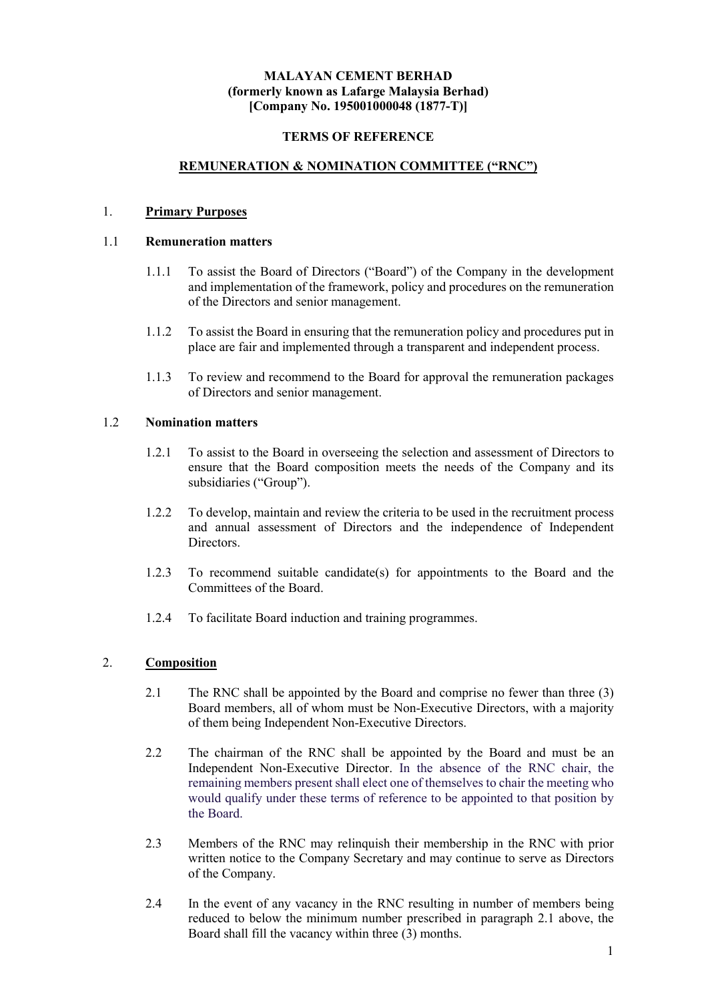### MALAYAN CEMENT BERHAD (formerly known as Lafarge Malaysia Berhad) [Company No. 195001000048 (1877-T)]

### TERMS OF REFERENCE

## REMUNERATION & NOMINATION COMMITTEE ("RNC")

#### 1. Primary Purposes

# 1.1 Remuneration matters

- 1.1.1 To assist the Board of Directors ("Board") of the Company in the development and implementation of the framework, policy and procedures on the remuneration of the Directors and senior management.
- 1.1.2 To assist the Board in ensuring that the remuneration policy and procedures put in place are fair and implemented through a transparent and independent process.
- 1.1.3 To review and recommend to the Board for approval the remuneration packages of Directors and senior management.

#### 1.2 Nomination matters

- 1.2.1 To assist to the Board in overseeing the selection and assessment of Directors to ensure that the Board composition meets the needs of the Company and its subsidiaries ("Group").
- 1.2.2 To develop, maintain and review the criteria to be used in the recruitment process and annual assessment of Directors and the independence of Independent Directors.
- 1.2.3 To recommend suitable candidate(s) for appointments to the Board and the Committees of the Board.
- 1.2.4 To facilitate Board induction and training programmes.

### 2. Composition

- 2.1 The RNC shall be appointed by the Board and comprise no fewer than three (3) Board members, all of whom must be Non-Executive Directors, with a majority of them being Independent Non-Executive Directors.
- 2.2 The chairman of the RNC shall be appointed by the Board and must be an Independent Non-Executive Director. In the absence of the RNC chair, the remaining members present shall elect one of themselves to chair the meeting who would qualify under these terms of reference to be appointed to that position by the Board.
- 2.3 Members of the RNC may relinquish their membership in the RNC with prior written notice to the Company Secretary and may continue to serve as Directors of the Company.
- 2.4 In the event of any vacancy in the RNC resulting in number of members being reduced to below the minimum number prescribed in paragraph 2.1 above, the Board shall fill the vacancy within three (3) months.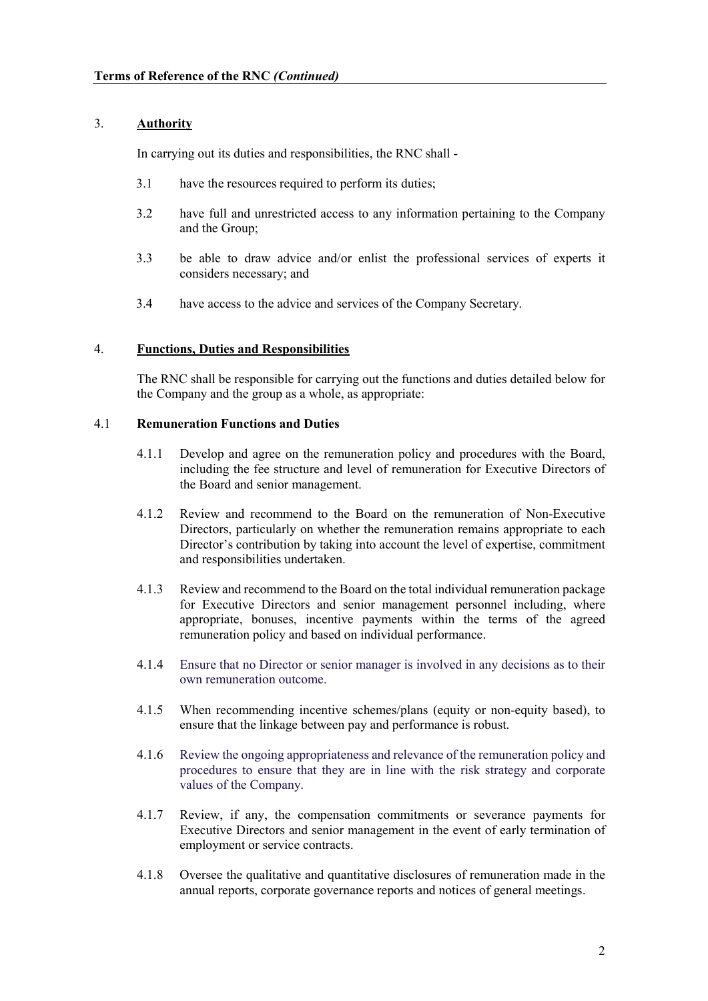# 3. Authority

In carrying out its duties and responsibilities, the RNC shall -

- 3.1 have the resources required to perform its duties;
- 3.2 have full and unrestricted access to any information pertaining to the Company and the Group;
- 3.3 be able to draw advice and/or enlist the professional services of experts it considers necessary; and
- 3.4 have access to the advice and services of the Company Secretary.

### 4. Functions, Duties and Responsibilities

 The RNC shall be responsible for carrying out the functions and duties detailed below for the Company and the group as a whole, as appropriate:

#### 4.1 Remuneration Functions and Duties

- 4.1.1 Develop and agree on the remuneration policy and procedures with the Board, including the fee structure and level of remuneration for Executive Directors of the Board and senior management.
- 4.1.2 Review and recommend to the Board on the remuneration of Non-Executive Directors, particularly on whether the remuneration remains appropriate to each Director's contribution by taking into account the level of expertise, commitment and responsibilities undertaken.
- 4.1.3 Review and recommend to the Board on the total individual remuneration package for Executive Directors and senior management personnel including, where appropriate, bonuses, incentive payments within the terms of the agreed remuneration policy and based on individual performance.
- 4.1.4 Ensure that no Director or senior manager is involved in any decisions as to their own remuneration outcome.
- 4.1.5 When recommending incentive schemes/plans (equity or non-equity based), to ensure that the linkage between pay and performance is robust.
- 4.1.6 Review the ongoing appropriateness and relevance of the remuneration policy and procedures to ensure that they are in line with the risk strategy and corporate values of the Company.
- 4.1.7 Review, if any, the compensation commitments or severance payments for Executive Directors and senior management in the event of early termination of employment or service contracts.
- 4.1.8 Oversee the qualitative and quantitative disclosures of remuneration made in the annual reports, corporate governance reports and notices of general meetings.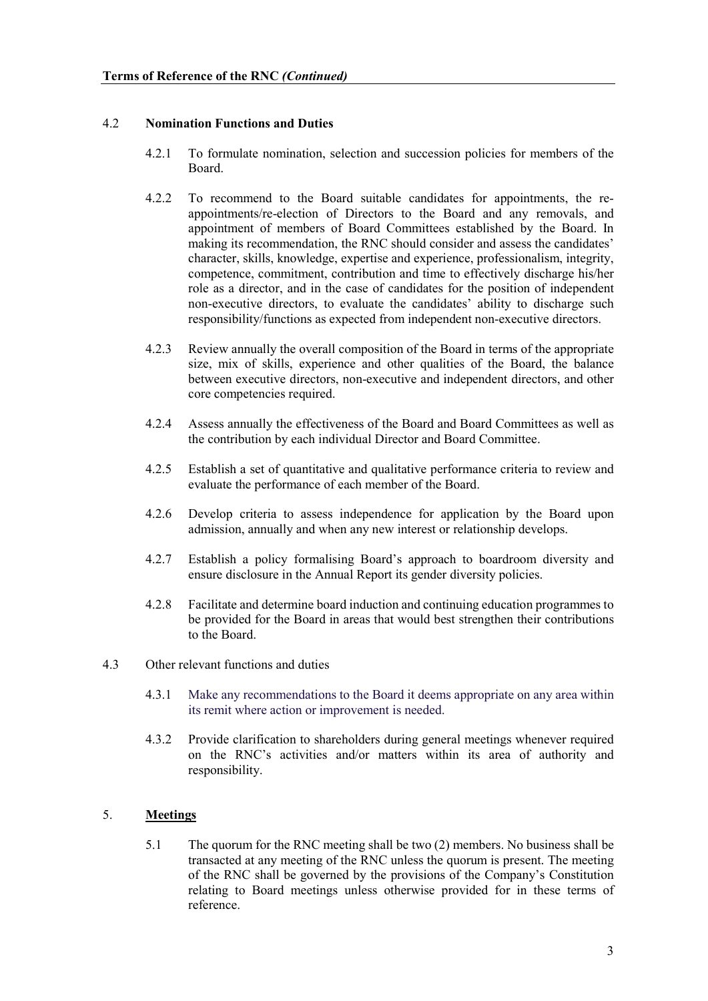### 4.2 Nomination Functions and Duties

- 4.2.1 To formulate nomination, selection and succession policies for members of the Board.
- 4.2.2 To recommend to the Board suitable candidates for appointments, the reappointments/re-election of Directors to the Board and any removals, and appointment of members of Board Committees established by the Board. In making its recommendation, the RNC should consider and assess the candidates' character, skills, knowledge, expertise and experience, professionalism, integrity, competence, commitment, contribution and time to effectively discharge his/her role as a director, and in the case of candidates for the position of independent non-executive directors, to evaluate the candidates' ability to discharge such responsibility/functions as expected from independent non-executive directors.
- 4.2.3 Review annually the overall composition of the Board in terms of the appropriate size, mix of skills, experience and other qualities of the Board, the balance between executive directors, non-executive and independent directors, and other core competencies required.
- 4.2.4 Assess annually the effectiveness of the Board and Board Committees as well as the contribution by each individual Director and Board Committee.
- 4.2.5 Establish a set of quantitative and qualitative performance criteria to review and evaluate the performance of each member of the Board.
- 4.2.6 Develop criteria to assess independence for application by the Board upon admission, annually and when any new interest or relationship develops.
- 4.2.7 Establish a policy formalising Board's approach to boardroom diversity and ensure disclosure in the Annual Report its gender diversity policies.
- 4.2.8 Facilitate and determine board induction and continuing education programmes to be provided for the Board in areas that would best strengthen their contributions to the Board.
- 4.3 Other relevant functions and duties
	- 4.3.1 Make any recommendations to the Board it deems appropriate on any area within its remit where action or improvement is needed.
	- 4.3.2 Provide clarification to shareholders during general meetings whenever required on the RNC's activities and/or matters within its area of authority and responsibility.

# 5. Meetings

5.1 The quorum for the RNC meeting shall be two (2) members. No business shall be transacted at any meeting of the RNC unless the quorum is present. The meeting of the RNC shall be governed by the provisions of the Company's Constitution relating to Board meetings unless otherwise provided for in these terms of reference.